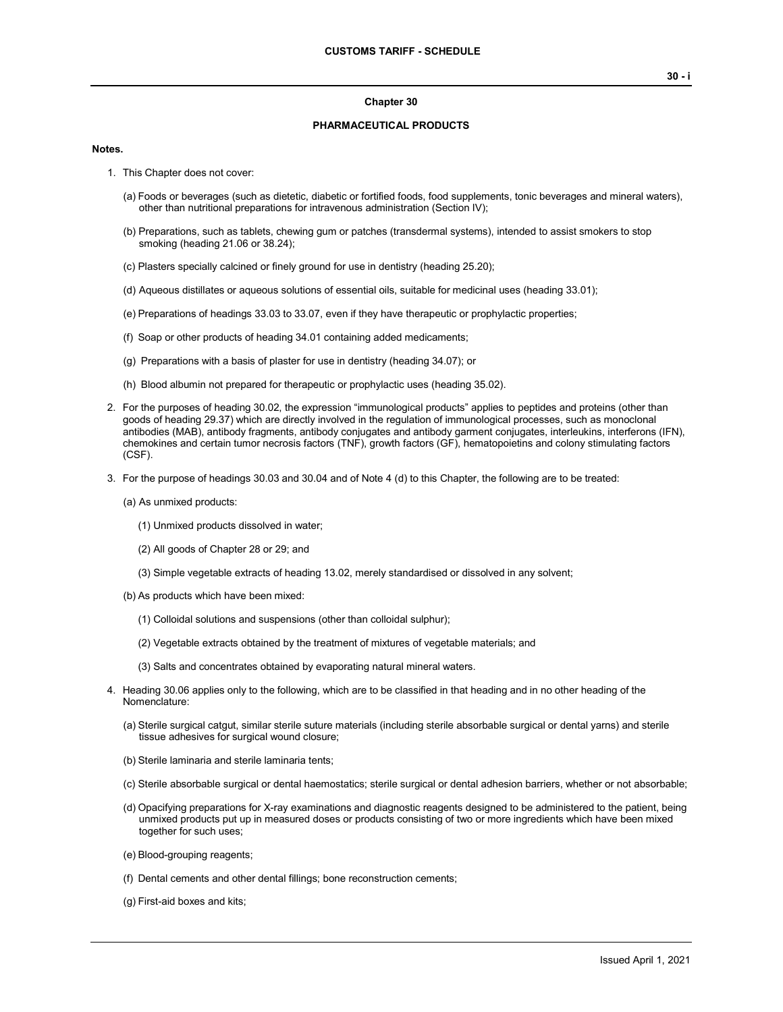#### **Chapter 30**

### **PHARMACEUTICAL PRODUCTS**

#### **Notes.**

- 1. This Chapter does not cover:
	- (a) Foods or beverages (such as dietetic, diabetic or fortified foods, food supplements, tonic beverages and mineral waters), other than nutritional preparations for intravenous administration (Section IV);
	- (b) Preparations, such as tablets, chewing gum or patches (transdermal systems), intended to assist smokers to stop smoking (heading 21.06 or 38.24);
	- (c) Plasters specially calcined or finely ground for use in dentistry (heading 25.20);

(d) Aqueous distillates or aqueous solutions of essential oils, suitable for medicinal uses (heading 33.01);

- (e) Preparations of headings 33.03 to 33.07, even if they have therapeutic or prophylactic properties;
- (f) Soap or other products of heading 34.01 containing added medicaments;
- (g) Preparations with a basis of plaster for use in dentistry (heading 34.07); or
- (h) Blood albumin not prepared for therapeutic or prophylactic uses (heading 35.02).
- 2. For the purposes of heading 30.02, the expression "immunological products" applies to peptides and proteins (other than goods of heading 29.37) which are directly involved in the regulation of immunological processes, such as monoclonal antibodies (MAB), antibody fragments, antibody conjugates and antibody garment conjugates, interleukins, interferons (IFN), chemokines and certain tumor necrosis factors (TNF), growth factors (GF), hematopoietins and colony stimulating factors (CSF).
- 3. For the purpose of headings 30.03 and 30.04 and of Note 4 (d) to this Chapter, the following are to be treated:
	- (a) As unmixed products:
		- (1) Unmixed products dissolved in water;
		- (2) All goods of Chapter 28 or 29; and
		- (3) Simple vegetable extracts of heading 13.02, merely standardised or dissolved in any solvent;
	- (b) As products which have been mixed:
		- (1) Colloidal solutions and suspensions (other than colloidal sulphur);
		- (2) Vegetable extracts obtained by the treatment of mixtures of vegetable materials; and
		- (3) Salts and concentrates obtained by evaporating natural mineral waters.
- 4. Heading 30.06 applies only to the following, which are to be classified in that heading and in no other heading of the Nomenclature:
	- (a) Sterile surgical catgut, similar sterile suture materials (including sterile absorbable surgical or dental yarns) and sterile tissue adhesives for surgical wound closure;
	- (b) Sterile laminaria and sterile laminaria tents;
	- (c) Sterile absorbable surgical or dental haemostatics; sterile surgical or dental adhesion barriers, whether or not absorbable;
	- (d) Opacifying preparations for X-ray examinations and diagnostic reagents designed to be administered to the patient, being unmixed products put up in measured doses or products consisting of two or more ingredients which have been mixed together for such uses;
	- (e) Blood-grouping reagents;
	- (f) Dental cements and other dental fillings; bone reconstruction cements;
	- (g) First-aid boxes and kits;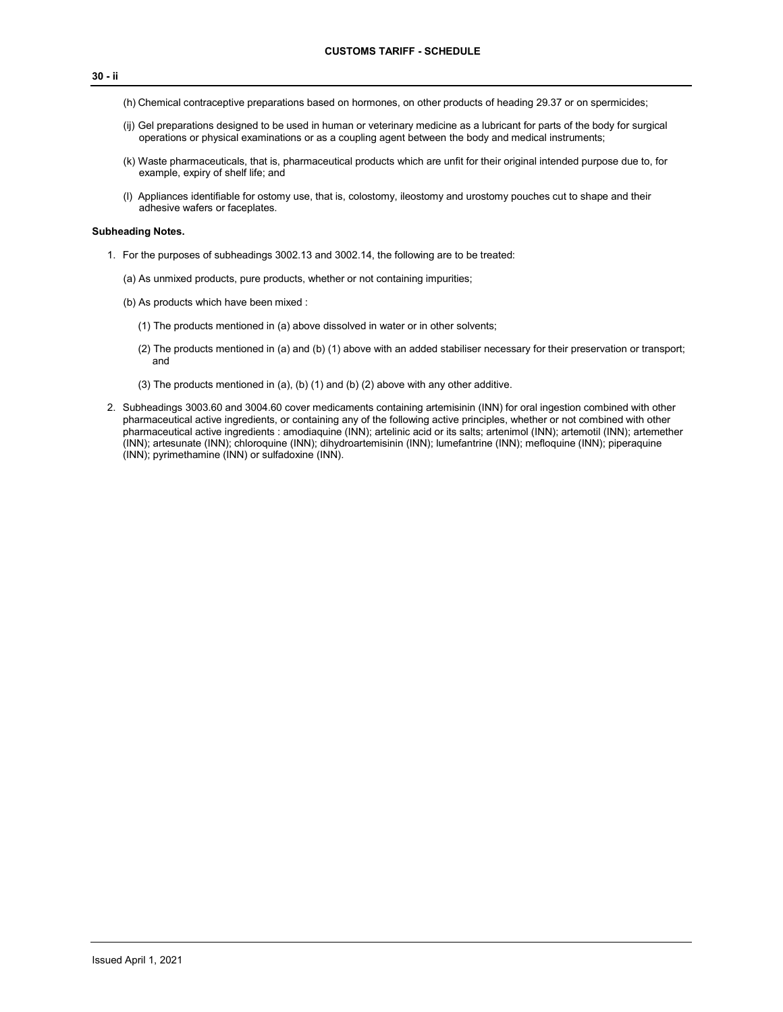#### **30 - ii**

- (h) Chemical contraceptive preparations based on hormones, on other products of heading 29.37 or on spermicides;
- (ij) Gel preparations designed to be used in human or veterinary medicine as a lubricant for parts of the body for surgical operations or physical examinations or as a coupling agent between the body and medical instruments;
- (k) Waste pharmaceuticals, that is, pharmaceutical products which are unfit for their original intended purpose due to, for example, expiry of shelf life; and
- (l) Appliances identifiable for ostomy use, that is, colostomy, ileostomy and urostomy pouches cut to shape and their adhesive wafers or faceplates.

## **Subheading Notes.**

- 1. For the purposes of subheadings 3002.13 and 3002.14, the following are to be treated:
	- (a) As unmixed products, pure products, whether or not containing impurities;
	- (b) As products which have been mixed :
		- (1) The products mentioned in (a) above dissolved in water or in other solvents;
		- (2) The products mentioned in (a) and (b) (1) above with an added stabiliser necessary for their preservation or transport; and
		- (3) The products mentioned in (a), (b) (1) and (b) (2) above with any other additive.
- 2. Subheadings 3003.60 and 3004.60 cover medicaments containing artemisinin (INN) for oral ingestion combined with other pharmaceutical active ingredients, or containing any of the following active principles, whether or not combined with other pharmaceutical active ingredients : amodiaquine (INN); artelinic acid or its salts; artenimol (INN); artemotil (INN); artemether (INN); artesunate (INN); chloroquine (INN); dihydroartemisinin (INN); lumefantrine (INN); mefloquine (INN); piperaquine (INN); pyrimethamine (INN) or sulfadoxine (INN).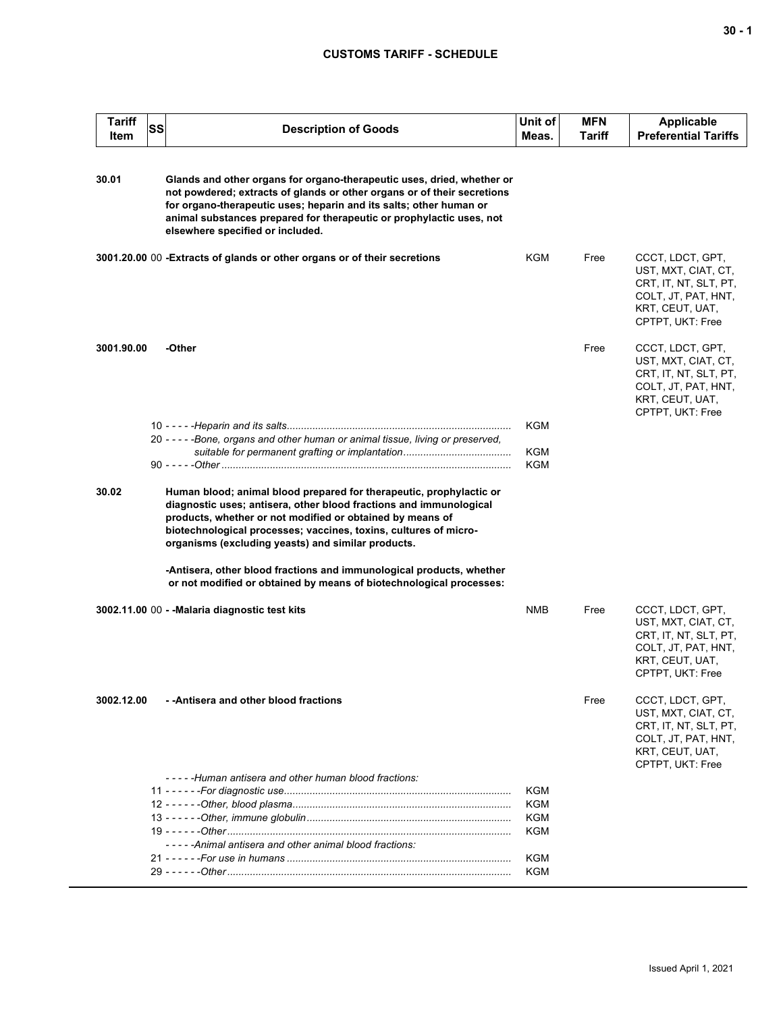# **CUSTOMS TARIFF - SCHEDULE**

| <b>Tariff</b><br>Item | SS | <b>Description of Goods</b>                                                                                                                                                                                                                                                                                                         | Unit of<br>Meas.  | <b>MFN</b><br><b>Tariff</b> | <b>Applicable</b><br><b>Preferential Tariffs</b>                                                                               |
|-----------------------|----|-------------------------------------------------------------------------------------------------------------------------------------------------------------------------------------------------------------------------------------------------------------------------------------------------------------------------------------|-------------------|-----------------------------|--------------------------------------------------------------------------------------------------------------------------------|
| 30.01                 |    | Glands and other organs for organo-therapeutic uses, dried, whether or<br>not powdered; extracts of glands or other organs or of their secretions<br>for organo-therapeutic uses; heparin and its salts; other human or<br>animal substances prepared for therapeutic or prophylactic uses, not<br>elsewhere specified or included. |                   |                             |                                                                                                                                |
|                       |    | 3001.20.00 00 - Extracts of glands or other organs or of their secretions                                                                                                                                                                                                                                                           | KGM               | Free                        | CCCT, LDCT, GPT,<br>UST, MXT, CIAT, CT,<br>CRT, IT, NT, SLT, PT,<br>COLT, JT, PAT, HNT,<br>KRT, CEUT, UAT,<br>CPTPT, UKT: Free |
| 3001.90.00            |    | -Other                                                                                                                                                                                                                                                                                                                              |                   | Free                        | CCCT, LDCT, GPT,<br>UST, MXT, CIAT, CT,<br>CRT, IT, NT, SLT, PT,<br>COLT, JT, PAT, HNT,<br>KRT, CEUT, UAT,<br>CPTPT, UKT: Free |
|                       |    | 20 - - - - - Bone, organs and other human or animal tissue, living or preserved,                                                                                                                                                                                                                                                    | KGM<br>KGM<br>KGM |                             |                                                                                                                                |
| 30.02                 |    | Human blood; animal blood prepared for therapeutic, prophylactic or<br>diagnostic uses; antisera, other blood fractions and immunological<br>products, whether or not modified or obtained by means of<br>biotechnological processes; vaccines, toxins, cultures of micro-<br>organisms (excluding yeasts) and similar products.    |                   |                             |                                                                                                                                |
|                       |    | -Antisera, other blood fractions and immunological products, whether<br>or not modified or obtained by means of biotechnological processes:                                                                                                                                                                                         |                   |                             |                                                                                                                                |
|                       |    | 3002.11.00 00 - - Malaria diagnostic test kits                                                                                                                                                                                                                                                                                      | NMB               | Free                        | CCCT, LDCT, GPT,<br>UST, MXT, CIAT, CT,<br>CRT, IT, NT, SLT, PT,<br>COLT, JT, PAT, HNT,<br>KRT, CEUT, UAT,<br>CPTPT, UKT: Free |
| 3002.12.00            |    | - -Antisera and other blood fractions                                                                                                                                                                                                                                                                                               |                   | Free                        | CCCT, LDCT, GPT,<br>UST, MXT, CIAT, CT,<br>CRT, IT, NT, SLT, PT,<br>COLT, JT, PAT, HNT,<br>KRT, CEUT, UAT,<br>CPTPT, UKT: Free |
|                       |    | -----Human antisera and other human blood fractions:                                                                                                                                                                                                                                                                                |                   |                             |                                                                                                                                |
|                       |    |                                                                                                                                                                                                                                                                                                                                     | <b>KGM</b>        |                             |                                                                                                                                |
|                       |    |                                                                                                                                                                                                                                                                                                                                     | <b>KGM</b>        |                             |                                                                                                                                |
|                       |    |                                                                                                                                                                                                                                                                                                                                     | <b>KGM</b>        |                             |                                                                                                                                |
|                       |    | -----Animal antisera and other animal blood fractions:                                                                                                                                                                                                                                                                              | KGM               |                             |                                                                                                                                |
|                       |    |                                                                                                                                                                                                                                                                                                                                     | <b>KGM</b>        |                             |                                                                                                                                |
|                       |    |                                                                                                                                                                                                                                                                                                                                     | <b>KGM</b>        |                             |                                                                                                                                |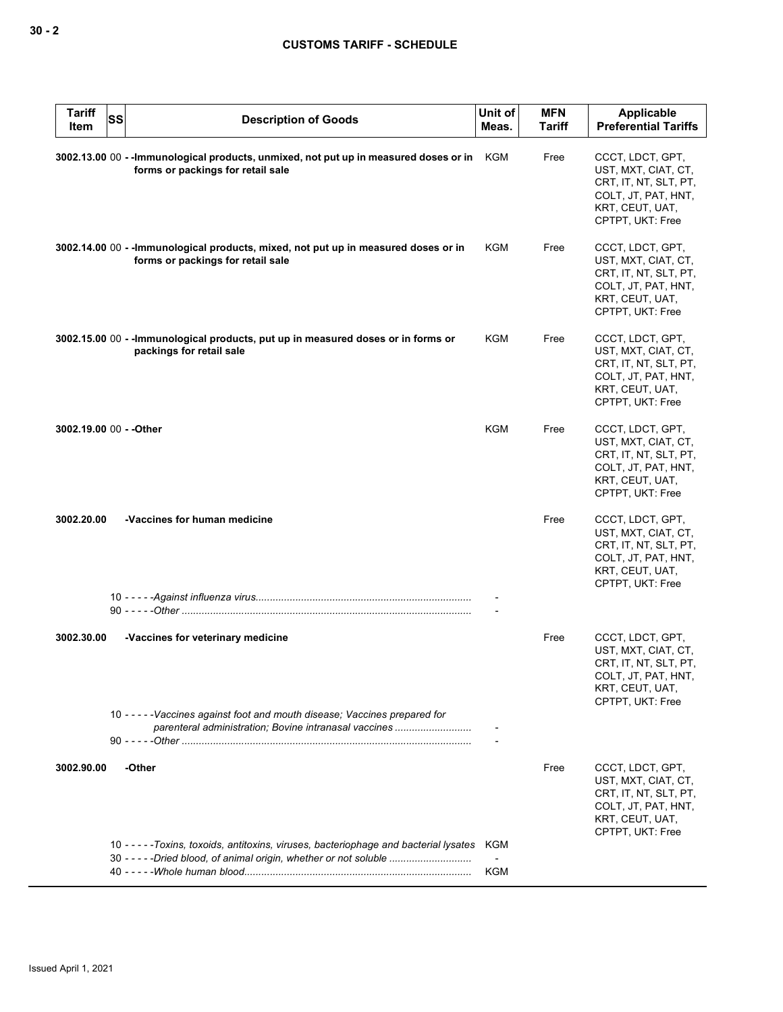| <b>Tariff</b><br>Item | <b>SS</b> | <b>Description of Goods</b>                                                                                                                             | Unit of<br>Meas. | <b>MFN</b><br><b>Tariff</b> | Applicable<br><b>Preferential Tariffs</b>                                                                                      |
|-----------------------|-----------|---------------------------------------------------------------------------------------------------------------------------------------------------------|------------------|-----------------------------|--------------------------------------------------------------------------------------------------------------------------------|
|                       |           | 3002.13.00 00 -- Immunological products, unmixed, not put up in measured doses or in<br>forms or packings for retail sale                               | KGM              | Free                        | CCCT, LDCT, GPT,<br>UST, MXT, CIAT, CT,<br>CRT, IT, NT, SLT, PT,<br>COLT, JT, PAT, HNT,<br>KRT, CEUT, UAT,<br>CPTPT, UKT: Free |
|                       |           | 3002.14.00 00 - - Immunological products, mixed, not put up in measured doses or in<br>forms or packings for retail sale                                | <b>KGM</b>       | Free                        | CCCT, LDCT, GPT,<br>UST, MXT, CIAT, CT,<br>CRT, IT, NT, SLT, PT,<br>COLT, JT, PAT, HNT,<br>KRT, CEUT, UAT,<br>CPTPT, UKT: Free |
|                       |           | 3002.15.00 00 - - Immunological products, put up in measured doses or in forms or<br>packings for retail sale                                           | KGM              | Free                        | CCCT, LDCT, GPT,<br>UST, MXT, CIAT, CT,<br>CRT, IT, NT, SLT, PT,<br>COLT, JT, PAT, HNT,<br>KRT, CEUT, UAT,<br>CPTPT, UKT: Free |
|                       |           | 3002.19.00 00 - - Other                                                                                                                                 | KGM              | Free                        | CCCT, LDCT, GPT,<br>UST, MXT, CIAT, CT,<br>CRT, IT, NT, SLT, PT,<br>COLT, JT, PAT, HNT,<br>KRT, CEUT, UAT,<br>CPTPT, UKT: Free |
| 3002.20.00            |           | -Vaccines for human medicine                                                                                                                            |                  | Free                        | CCCT, LDCT, GPT,<br>UST, MXT, CIAT, CT,<br>CRT, IT, NT, SLT, PT,<br>COLT, JT, PAT, HNT,<br>KRT, CEUT, UAT,<br>CPTPT, UKT: Free |
|                       |           |                                                                                                                                                         |                  |                             |                                                                                                                                |
| 3002.30.00            |           | -Vaccines for veterinary medicine                                                                                                                       |                  | Free                        | CCCT, LDCT, GPT,<br>UST, MXT, CIAT, CT,<br>CRT, IT, NT, SLT, PT,<br>COLT, JT, PAT, HNT,<br>KRT, CEUT, UAT,<br>CPTPT, UKT: Free |
|                       |           | 10 - - - - - Vaccines against foot and mouth disease; Vaccines prepared for<br>parenteral administration; Bovine intranasal vaccines                    |                  |                             |                                                                                                                                |
| 3002.90.00            |           | -Other                                                                                                                                                  |                  | Free                        | CCCT, LDCT, GPT,<br>UST, MXT, CIAT, CT,<br>CRT, IT, NT, SLT, PT,<br>COLT, JT, PAT, HNT,<br>KRT, CEUT, UAT,<br>CPTPT, UKT: Free |
|                       |           | 10 -----Toxins, toxoids, antitoxins, viruses, bacteriophage and bacterial lysates<br>30 - - - - - Dried blood, of animal origin, whether or not soluble | KGM<br>KGM       |                             |                                                                                                                                |
|                       |           |                                                                                                                                                         |                  |                             |                                                                                                                                |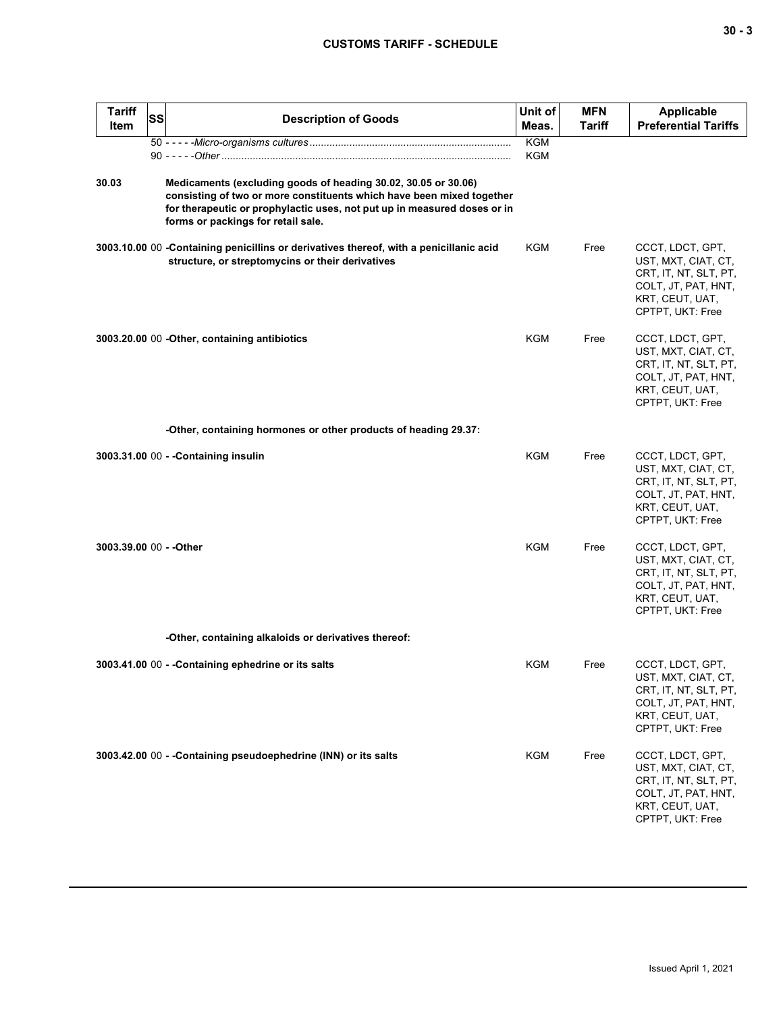| I   |        |
|-----|--------|
| - - |        |
|     | $\sim$ |
|     |        |

| <b>Tariff</b><br>Item   | SS | <b>Description of Goods</b>                                                                                                                                                                                                                               | Unit of<br>Meas.         | <b>MFN</b><br>Tariff | <b>Applicable</b><br><b>Preferential Tariffs</b>                                                                               |
|-------------------------|----|-----------------------------------------------------------------------------------------------------------------------------------------------------------------------------------------------------------------------------------------------------------|--------------------------|----------------------|--------------------------------------------------------------------------------------------------------------------------------|
|                         |    |                                                                                                                                                                                                                                                           | <b>KGM</b><br><b>KGM</b> |                      |                                                                                                                                |
| 30.03                   |    | Medicaments (excluding goods of heading 30.02, 30.05 or 30.06)<br>consisting of two or more constituents which have been mixed together<br>for therapeutic or prophylactic uses, not put up in measured doses or in<br>forms or packings for retail sale. |                          |                      |                                                                                                                                |
|                         |    | 3003.10.00 00 - Containing penicillins or derivatives thereof, with a penicillanic acid<br>structure, or streptomycins or their derivatives                                                                                                               | KGM                      | Free                 | CCCT, LDCT, GPT,<br>UST, MXT, CIAT, CT,<br>CRT, IT, NT, SLT, PT,<br>COLT, JT, PAT, HNT,<br>KRT, CEUT, UAT,<br>CPTPT, UKT: Free |
|                         |    | 3003.20.00 00 - Other, containing antibiotics                                                                                                                                                                                                             | KGM                      | Free                 | CCCT, LDCT, GPT,<br>UST, MXT, CIAT, CT,<br>CRT, IT, NT, SLT, PT,<br>COLT, JT, PAT, HNT,<br>KRT, CEUT, UAT,<br>CPTPT, UKT: Free |
|                         |    | -Other, containing hormones or other products of heading 29.37:                                                                                                                                                                                           |                          |                      |                                                                                                                                |
|                         |    | 3003.31.00 00 - - Containing insulin                                                                                                                                                                                                                      | <b>KGM</b>               | Free                 | CCCT, LDCT, GPT,<br>UST, MXT, CIAT, CT,<br>CRT, IT, NT, SLT, PT,<br>COLT, JT, PAT, HNT,<br>KRT, CEUT, UAT,<br>CPTPT, UKT: Free |
| 3003.39.00 00 - - Other |    |                                                                                                                                                                                                                                                           | <b>KGM</b>               | Free                 | CCCT, LDCT, GPT,<br>UST, MXT, CIAT, CT,<br>CRT, IT, NT, SLT, PT,<br>COLT, JT, PAT, HNT,<br>KRT, CEUT, UAT,<br>CPTPT, UKT: Free |
|                         |    | -Other, containing alkaloids or derivatives thereof:                                                                                                                                                                                                      |                          |                      |                                                                                                                                |
|                         |    | 3003.41.00 00 - - Containing ephedrine or its salts                                                                                                                                                                                                       | KGM                      | Free                 | CCCT, LDCT, GPT,<br>UST, MXT, CIAT, CT,<br>CRT, IT, NT, SLT, PT,<br>COLT, JT, PAT, HNT,<br>KRT, CEUT, UAT,<br>CPTPT, UKT: Free |
|                         |    | 3003.42.00 00 - - Containing pseudoephedrine (INN) or its salts                                                                                                                                                                                           | KGM                      | Free                 | CCCT, LDCT, GPT,<br>UST, MXT, CIAT, CT,<br>CRT, IT, NT, SLT, PT,<br>COLT, JT, PAT, HNT,<br>KRT, CEUT, UAT,<br>CPTPT, UKT: Free |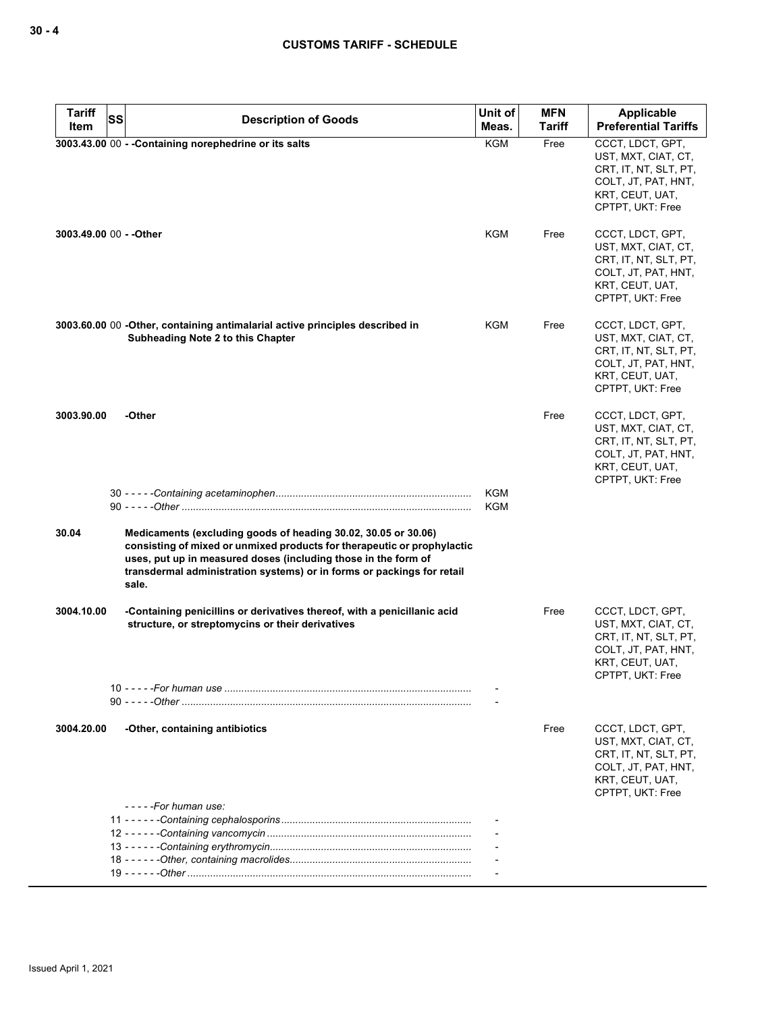| <b>Tariff</b>           | <b>SS</b> | <b>Description of Goods</b>                                                                                                                                                                                                                                                                    | Unit of    | <b>MFN</b>    | Applicable                                                                                                                     |
|-------------------------|-----------|------------------------------------------------------------------------------------------------------------------------------------------------------------------------------------------------------------------------------------------------------------------------------------------------|------------|---------------|--------------------------------------------------------------------------------------------------------------------------------|
| Item                    |           |                                                                                                                                                                                                                                                                                                | Meas.      | <b>Tariff</b> | <b>Preferential Tariffs</b>                                                                                                    |
|                         |           | 3003.43.00 00 - - Containing norephedrine or its salts                                                                                                                                                                                                                                         | <b>KGM</b> | Free          | CCCT, LDCT, GPT,<br>UST, MXT, CIAT, CT,<br>CRT, IT, NT, SLT, PT,<br>COLT, JT, PAT, HNT,<br>KRT, CEUT, UAT,<br>CPTPT, UKT: Free |
| 3003.49.00 00 - - Other |           |                                                                                                                                                                                                                                                                                                | KGM        | Free          | CCCT, LDCT, GPT,<br>UST, MXT, CIAT, CT,<br>CRT, IT, NT, SLT, PT,<br>COLT, JT, PAT, HNT,<br>KRT, CEUT, UAT,<br>CPTPT, UKT: Free |
|                         |           | 3003.60.00 00 -Other, containing antimalarial active principles described in<br>Subheading Note 2 to this Chapter                                                                                                                                                                              | KGM        | Free          | CCCT, LDCT, GPT,<br>UST, MXT, CIAT, CT,<br>CRT, IT, NT, SLT, PT,<br>COLT, JT, PAT, HNT,<br>KRT, CEUT, UAT,<br>CPTPT, UKT: Free |
| 3003.90.00              |           | -Other                                                                                                                                                                                                                                                                                         |            | Free          | CCCT, LDCT, GPT,<br>UST, MXT, CIAT, CT,<br>CRT, IT, NT, SLT, PT,<br>COLT, JT, PAT, HNT,<br>KRT, CEUT, UAT,<br>CPTPT, UKT: Free |
|                         |           |                                                                                                                                                                                                                                                                                                | KGM<br>KGM |               |                                                                                                                                |
| 30.04                   |           | Medicaments (excluding goods of heading 30.02, 30.05 or 30.06)<br>consisting of mixed or unmixed products for therapeutic or prophylactic<br>uses, put up in measured doses (including those in the form of<br>transdermal administration systems) or in forms or packings for retail<br>sale. |            |               |                                                                                                                                |
| 3004.10.00              |           | -Containing penicillins or derivatives thereof, with a penicillanic acid<br>structure, or streptomycins or their derivatives                                                                                                                                                                   |            | Free          | CCCT, LDCT, GPT,<br>UST, MXT, CIAT, CT,<br>CRT, IT, NT, SLT, PT,<br>COLT, JT, PAT, HNT,<br>KRT, CEUT, UAT,<br>CPTPT, UKT: Free |
|                         |           |                                                                                                                                                                                                                                                                                                |            |               |                                                                                                                                |
| 3004.20.00              |           | -Other, containing antibiotics<br>- - - - -For human use:                                                                                                                                                                                                                                      |            | Free          | CCCT, LDCT, GPT,<br>UST, MXT, CIAT, CT,<br>CRT, IT, NT, SLT, PT,<br>COLT, JT, PAT, HNT,<br>KRT, CEUT, UAT,<br>CPTPT, UKT: Free |
|                         |           |                                                                                                                                                                                                                                                                                                |            |               |                                                                                                                                |
|                         |           |                                                                                                                                                                                                                                                                                                |            |               |                                                                                                                                |
|                         |           |                                                                                                                                                                                                                                                                                                |            |               |                                                                                                                                |
|                         |           |                                                                                                                                                                                                                                                                                                |            |               |                                                                                                                                |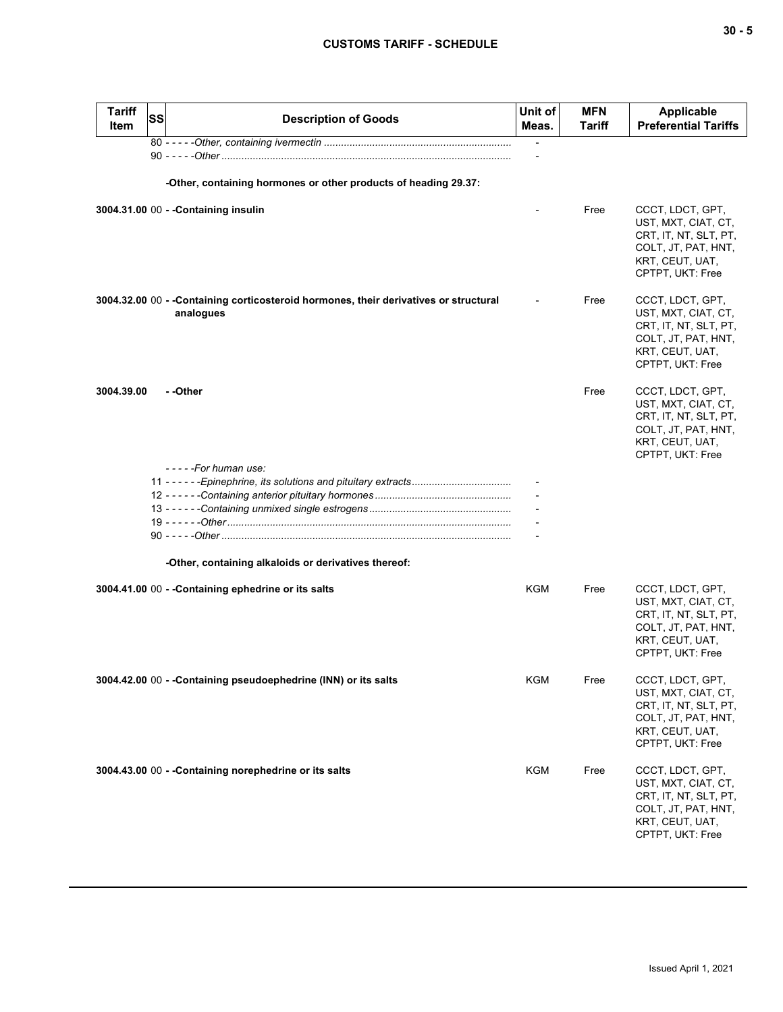| <b>Tariff</b><br>Item | <b>SS</b> | <b>Description of Goods</b>                                                                        | Unit of<br>Meas. | <b>MFN</b><br>Tariff | <b>Applicable</b><br><b>Preferential Tariffs</b>                                                                               |
|-----------------------|-----------|----------------------------------------------------------------------------------------------------|------------------|----------------------|--------------------------------------------------------------------------------------------------------------------------------|
|                       |           |                                                                                                    |                  |                      |                                                                                                                                |
|                       |           | -Other, containing hormones or other products of heading 29.37:                                    |                  |                      |                                                                                                                                |
|                       |           | 3004.31.00 00 - - Containing insulin                                                               |                  | Free                 | CCCT, LDCT, GPT,<br>UST, MXT, CIAT, CT,<br>CRT, IT, NT, SLT, PT,<br>COLT, JT, PAT, HNT,<br>KRT, CEUT, UAT,<br>CPTPT, UKT: Free |
|                       |           | 3004.32.00 00 - - Containing corticosteroid hormones, their derivatives or structural<br>analogues |                  | Free                 | CCCT, LDCT, GPT,<br>UST, MXT, CIAT, CT,<br>CRT, IT, NT, SLT, PT,<br>COLT, JT, PAT, HNT,<br>KRT, CEUT, UAT,<br>CPTPT, UKT: Free |
| 3004.39.00            |           | - -Other                                                                                           |                  | Free                 | CCCT, LDCT, GPT,<br>UST, MXT, CIAT, CT,<br>CRT, IT, NT, SLT, PT,<br>COLT, JT, PAT, HNT,<br>KRT, CEUT, UAT,<br>CPTPT, UKT: Free |
|                       |           | -----For human use:<br>11 - - - - - - Epinephrine, its solutions and pituitary extracts            |                  |                      |                                                                                                                                |
|                       |           |                                                                                                    |                  |                      |                                                                                                                                |
|                       |           |                                                                                                    |                  |                      |                                                                                                                                |
|                       |           | -Other, containing alkaloids or derivatives thereof:                                               |                  |                      |                                                                                                                                |
|                       |           | 3004.41.00 00 - - Containing ephedrine or its salts                                                | KGM              | Free                 | CCCT, LDCT, GPT,<br>UST, MXT, CIAT, CT,<br>CRT, IT, NT, SLT, PT,<br>COLT, JT, PAT, HNT,<br>KRT, CEUT, UAT,<br>CPTPT, UKT: Free |
|                       |           | 3004.42.00 00 - - Containing pseudoephedrine (INN) or its salts                                    | <b>KGM</b>       | Free                 | CCCT, LDCT, GPT,<br>UST, MXT, CIAT, CT,<br>CRT, IT, NT, SLT, PT,<br>COLT, JT, PAT, HNT,<br>KRT, CEUT, UAT,<br>CPTPT, UKT: Free |
|                       |           | 3004.43.00 00 - - Containing norephedrine or its salts                                             | <b>KGM</b>       | Free                 | CCCT, LDCT, GPT,<br>UST, MXT, CIAT, CT,<br>CRT, IT, NT, SLT, PT,<br>COLT, JT, PAT, HNT,<br>KRT, CEUT, UAT,<br>CPTPT, UKT: Free |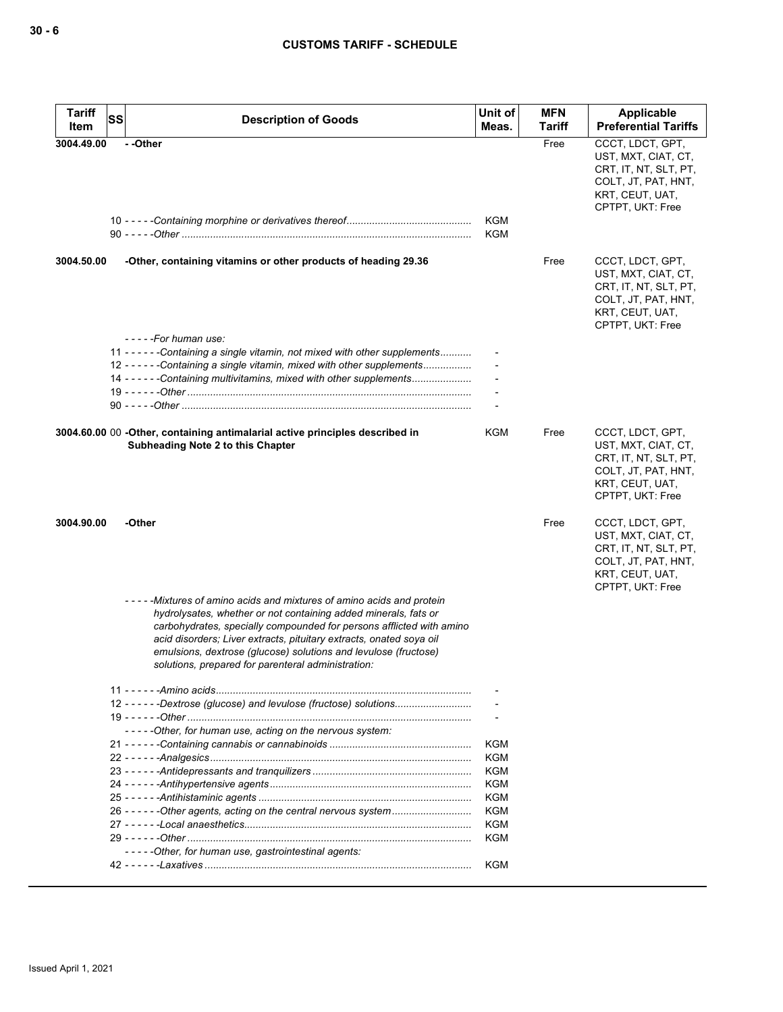| <b>Tariff</b> | SS | <b>Description of Goods</b>                                                                                                                                                                                                                                                                                                                                                                                     | Unit of                  | <b>MFN</b> | Applicable                                                                                                                     |
|---------------|----|-----------------------------------------------------------------------------------------------------------------------------------------------------------------------------------------------------------------------------------------------------------------------------------------------------------------------------------------------------------------------------------------------------------------|--------------------------|------------|--------------------------------------------------------------------------------------------------------------------------------|
| Item          |    |                                                                                                                                                                                                                                                                                                                                                                                                                 | Meas.                    | Tariff     | <b>Preferential Tariffs</b>                                                                                                    |
| 3004.49.00    |    | --Other                                                                                                                                                                                                                                                                                                                                                                                                         | <b>KGM</b><br><b>KGM</b> | Free       | CCCT, LDCT, GPT,<br>UST, MXT, CIAT, CT,<br>CRT, IT, NT, SLT, PT,<br>COLT, JT, PAT, HNT,<br>KRT, CEUT, UAT,<br>CPTPT, UKT: Free |
| 3004.50.00    |    | -Other, containing vitamins or other products of heading 29.36<br>-----For human use:                                                                                                                                                                                                                                                                                                                           |                          | Free       | CCCT, LDCT, GPT,<br>UST, MXT, CIAT, CT,<br>CRT, IT, NT, SLT, PT,<br>COLT, JT, PAT, HNT,<br>KRT, CEUT, UAT,<br>CPTPT, UKT: Free |
|               |    | 11 - - - - - - Containing a single vitamin, not mixed with other supplements<br>12 ----- - Containing a single vitamin, mixed with other supplements<br>14 - - - - - - Containing multivitamins, mixed with other supplements                                                                                                                                                                                   |                          |            |                                                                                                                                |
|               |    | 3004.60.00 00 -Other, containing antimalarial active principles described in<br>Subheading Note 2 to this Chapter                                                                                                                                                                                                                                                                                               | KGM                      | Free       | CCCT, LDCT, GPT,<br>UST, MXT, CIAT, CT,<br>CRT, IT, NT, SLT, PT,<br>COLT, JT, PAT, HNT,<br>KRT, CEUT, UAT,<br>CPTPT, UKT: Free |
| 3004.90.00    |    | -Other                                                                                                                                                                                                                                                                                                                                                                                                          |                          | Free       | CCCT, LDCT, GPT,<br>UST, MXT, CIAT, CT,<br>CRT, IT, NT, SLT, PT,<br>COLT, JT, PAT, HNT,<br>KRT, CEUT, UAT,<br>CPTPT, UKT: Free |
|               |    | -----Mixtures of amino acids and mixtures of amino acids and protein<br>hydrolysates, whether or not containing added minerals, fats or<br>carbohydrates, specially compounded for persons afflicted with amino<br>acid disorders; Liver extracts, pituitary extracts, onated soya oil<br>emulsions, dextrose (glucose) solutions and levulose (fructose)<br>solutions, prepared for parenteral administration: |                          |            |                                                                                                                                |
|               |    |                                                                                                                                                                                                                                                                                                                                                                                                                 |                          |            |                                                                                                                                |
|               |    | 12 - - - - - - Dextrose (glucose) and levulose (fructose) solutions                                                                                                                                                                                                                                                                                                                                             |                          |            |                                                                                                                                |
|               |    | -----Other, for human use, acting on the nervous system:                                                                                                                                                                                                                                                                                                                                                        |                          |            |                                                                                                                                |
|               |    |                                                                                                                                                                                                                                                                                                                                                                                                                 | KGM                      |            |                                                                                                                                |
|               |    |                                                                                                                                                                                                                                                                                                                                                                                                                 | KGM                      |            |                                                                                                                                |
|               |    |                                                                                                                                                                                                                                                                                                                                                                                                                 | <b>KGM</b>               |            |                                                                                                                                |
|               |    |                                                                                                                                                                                                                                                                                                                                                                                                                 | KGM                      |            |                                                                                                                                |
|               |    | 26 - - - - - - Other agents, acting on the central nervous system                                                                                                                                                                                                                                                                                                                                               | KGM<br>KGM               |            |                                                                                                                                |
|               |    |                                                                                                                                                                                                                                                                                                                                                                                                                 | <b>KGM</b>               |            |                                                                                                                                |
|               |    |                                                                                                                                                                                                                                                                                                                                                                                                                 | KGM                      |            |                                                                                                                                |
|               |    | -----Other, for human use, gastrointestinal agents:                                                                                                                                                                                                                                                                                                                                                             |                          |            |                                                                                                                                |
|               |    |                                                                                                                                                                                                                                                                                                                                                                                                                 | KGM                      |            |                                                                                                                                |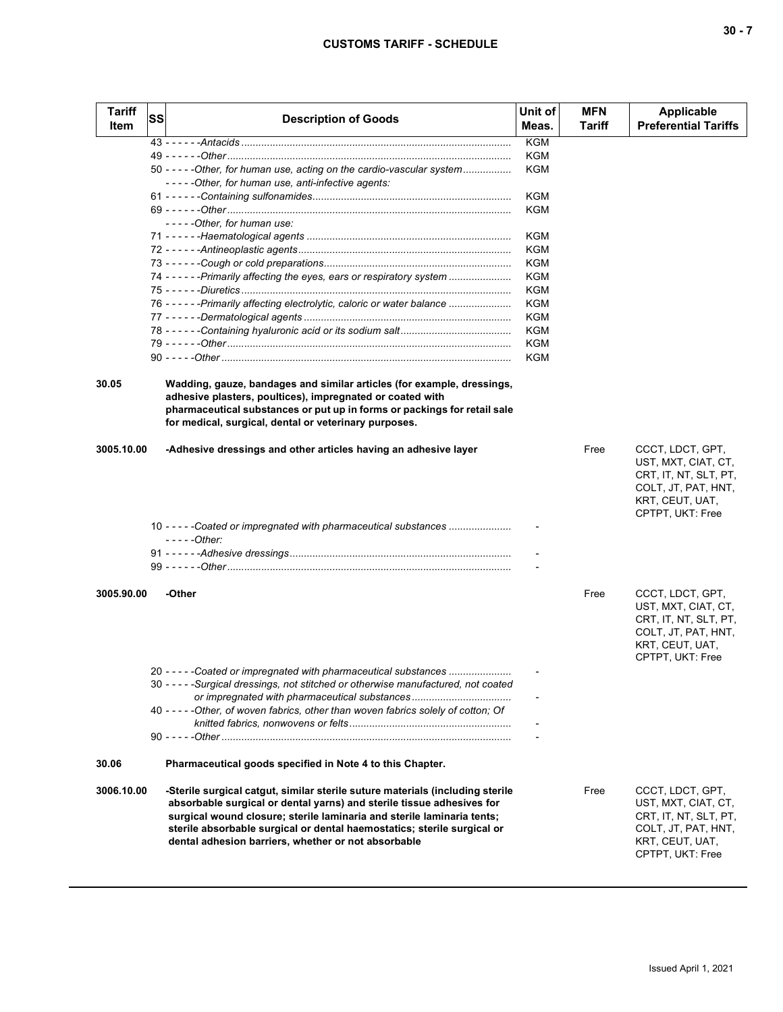| <b>Tariff</b><br><b>Item</b> | <b>SS</b> | <b>Description of Goods</b>                                                         | Unit of<br>Meas. | <b>MFN</b><br>Tariff | Applicable<br><b>Preferential Tariffs</b>                        |
|------------------------------|-----------|-------------------------------------------------------------------------------------|------------------|----------------------|------------------------------------------------------------------|
|                              |           |                                                                                     | <b>KGM</b>       |                      |                                                                  |
|                              |           |                                                                                     | KGM              |                      |                                                                  |
|                              |           | 50 ----- - Other, for human use, acting on the cardio-vascular system               | KGM              |                      |                                                                  |
|                              |           | -----Other, for human use, anti-infective agents:                                   |                  |                      |                                                                  |
|                              |           |                                                                                     | KGM              |                      |                                                                  |
|                              |           |                                                                                     | KGM              |                      |                                                                  |
|                              |           | -----Other, for human use:                                                          |                  |                      |                                                                  |
|                              |           |                                                                                     | KGM              |                      |                                                                  |
|                              |           |                                                                                     | KGM              |                      |                                                                  |
|                              |           |                                                                                     | KGM              |                      |                                                                  |
|                              |           | 74 - - - - - - Primarily affecting the eyes, ears or respiratory system             | KGM              |                      |                                                                  |
|                              |           |                                                                                     | KGM              |                      |                                                                  |
|                              |           | 76 - - - - - - Primarily affecting electrolytic, caloric or water balance           | KGM              |                      |                                                                  |
|                              |           |                                                                                     | KGM              |                      |                                                                  |
|                              |           |                                                                                     | KGM              |                      |                                                                  |
|                              |           |                                                                                     | KGM              |                      |                                                                  |
|                              |           |                                                                                     | KGM              |                      |                                                                  |
| 30.05                        |           | Wadding, gauze, bandages and similar articles (for example, dressings,              |                  |                      |                                                                  |
|                              |           | adhesive plasters, poultices), impregnated or coated with                           |                  |                      |                                                                  |
|                              |           | pharmaceutical substances or put up in forms or packings for retail sale            |                  |                      |                                                                  |
|                              |           | for medical, surgical, dental or veterinary purposes.                               |                  |                      |                                                                  |
| 3005.10.00                   |           | -Adhesive dressings and other articles having an adhesive layer                     |                  | Free                 | CCCT, LDCT, GPT,<br>UST, MXT, CIAT, CT,<br>CRT, IT, NT, SLT, PT, |
|                              |           |                                                                                     |                  |                      | COLT, JT, PAT, HNT,<br>KRT, CEUT, UAT,<br>CPTPT, UKT: Free       |
|                              |           | 10 - - - - - Coated or impregnated with pharmaceutical substances<br>$---Other:$    |                  |                      |                                                                  |
|                              |           |                                                                                     |                  |                      |                                                                  |
|                              |           |                                                                                     |                  |                      |                                                                  |
| 3005.90.00                   |           | -Other                                                                              |                  | Free                 | CCCT, LDCT, GPT,                                                 |
|                              |           |                                                                                     |                  |                      | UST, MXT, CIAT, CT,                                              |
|                              |           |                                                                                     |                  |                      | CRT, IT, NT, SLT, PT,                                            |
|                              |           |                                                                                     |                  |                      | COLT, JT, PAT, HNT,                                              |
|                              |           |                                                                                     |                  |                      | KRT, CEUT, UAT,                                                  |
|                              |           |                                                                                     |                  |                      | CPTPT, UKT: Free                                                 |
|                              |           | 20 - - - - - Coated or impregnated with pharmaceutical substances                   |                  |                      |                                                                  |
|                              |           | 30 - - - - - Surgical dressings, not stitched or otherwise manufactured, not coated |                  |                      |                                                                  |
|                              |           | or impregnated with pharmaceutical substances                                       |                  |                      |                                                                  |
|                              |           | 40 - - - - - Other, of woven fabrics, other than woven fabrics solely of cotton; Of |                  |                      |                                                                  |
|                              |           |                                                                                     |                  |                      |                                                                  |
|                              |           |                                                                                     |                  |                      |                                                                  |
| 30.06                        |           | Pharmaceutical goods specified in Note 4 to this Chapter.                           |                  |                      |                                                                  |
| 3006.10.00                   |           | -Sterile surgical catgut, similar sterile suture materials (including sterile       |                  | Free                 | CCCT, LDCT, GPT,                                                 |
|                              |           | absorbable surgical or dental yarns) and sterile tissue adhesives for               |                  |                      | UST, MXT, CIAT, CT,                                              |
|                              |           | surgical wound closure; sterile laminaria and sterile laminaria tents;              |                  |                      | CRT, IT, NT, SLT, PT,                                            |
|                              |           | sterile absorbable surgical or dental haemostatics; sterile surgical or             |                  |                      | COLT, JT, PAT, HNT,                                              |
|                              |           | dental adhesion barriers, whether or not absorbable                                 |                  |                      | KRT, CEUT, UAT,<br>CPTPT, UKT: Free                              |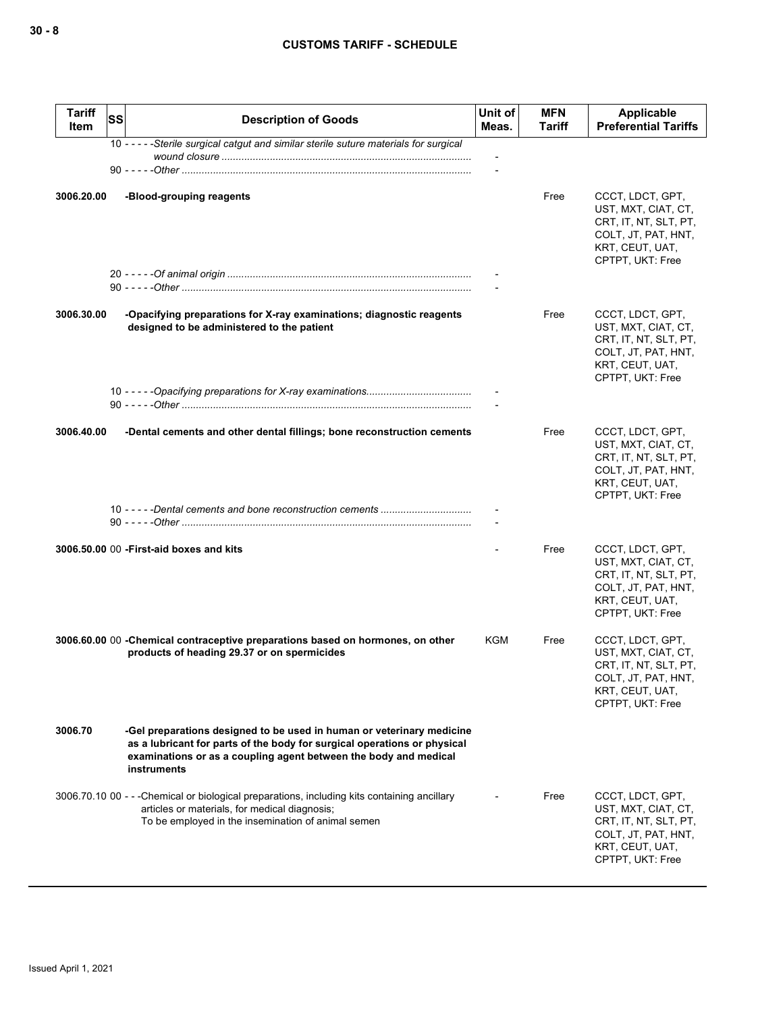| <b>Tariff</b><br><b>Item</b> | <b>SS</b> | <b>Description of Goods</b>                                                                                                                                                                                                          | Unit of<br>Meas. | <b>MFN</b><br>Tariff | <b>Applicable</b><br><b>Preferential Tariffs</b>                                                                               |
|------------------------------|-----------|--------------------------------------------------------------------------------------------------------------------------------------------------------------------------------------------------------------------------------------|------------------|----------------------|--------------------------------------------------------------------------------------------------------------------------------|
|                              |           | 10 - - - - - Sterile surgical catgut and similar sterile suture materials for surgical                                                                                                                                               |                  |                      |                                                                                                                                |
|                              |           |                                                                                                                                                                                                                                      |                  |                      |                                                                                                                                |
| 3006.20.00                   |           | -Blood-grouping reagents                                                                                                                                                                                                             |                  | Free                 | CCCT, LDCT, GPT,<br>UST, MXT, CIAT, CT,<br>CRT, IT, NT, SLT, PT,<br>COLT, JT, PAT, HNT,<br>KRT, CEUT, UAT,<br>CPTPT, UKT: Free |
|                              |           |                                                                                                                                                                                                                                      |                  |                      |                                                                                                                                |
|                              |           |                                                                                                                                                                                                                                      |                  |                      |                                                                                                                                |
| 3006.30.00                   |           | -Opacifying preparations for X-ray examinations; diagnostic reagents<br>designed to be administered to the patient                                                                                                                   |                  | Free                 | CCCT, LDCT, GPT,<br>UST, MXT, CIAT, CT,<br>CRT, IT, NT, SLT, PT,<br>COLT, JT, PAT, HNT,<br>KRT, CEUT, UAT,<br>CPTPT, UKT: Free |
|                              |           |                                                                                                                                                                                                                                      |                  |                      |                                                                                                                                |
|                              |           |                                                                                                                                                                                                                                      |                  |                      |                                                                                                                                |
| 3006.40.00                   |           | -Dental cements and other dental fillings; bone reconstruction cements                                                                                                                                                               |                  | Free                 | CCCT, LDCT, GPT,<br>UST, MXT, CIAT, CT,<br>CRT, IT, NT, SLT, PT,<br>COLT, JT, PAT, HNT,<br>KRT, CEUT, UAT,<br>CPTPT, UKT: Free |
|                              |           |                                                                                                                                                                                                                                      |                  |                      |                                                                                                                                |
|                              |           | 3006.50.00 00 - First-aid boxes and kits                                                                                                                                                                                             |                  | Free                 | CCCT, LDCT, GPT,<br>UST, MXT, CIAT, CT,<br>CRT, IT, NT, SLT, PT,<br>COLT, JT, PAT, HNT,<br>KRT, CEUT, UAT,<br>CPTPT, UKT: Free |
|                              |           | 3006.60.00 00 - Chemical contraceptive preparations based on hormones, on other<br>products of heading 29.37 or on spermicides                                                                                                       | KGM              | Free                 | CCCT, LDCT, GPT,<br>UST, MXT, CIAT, CT,<br>CRT, IT, NT, SLT, PT,<br>COLT, JT, PAT, HNT,<br>KRT, CEUT, UAT,<br>CPTPT, UKT: Free |
| 3006.70                      |           | -Gel preparations designed to be used in human or veterinary medicine<br>as a lubricant for parts of the body for surgical operations or physical<br>examinations or as a coupling agent between the body and medical<br>instruments |                  |                      |                                                                                                                                |
|                              |           | 3006.70.10 00 - - - Chemical or biological preparations, including kits containing ancillary<br>articles or materials, for medical diagnosis;<br>To be employed in the insemination of animal semen                                  |                  | Free                 | CCCT, LDCT, GPT,<br>UST, MXT, CIAT, CT,<br>CRT, IT, NT, SLT, PT,<br>COLT, JT, PAT, HNT,<br>KRT, CEUT, UAT,<br>CPTPT, UKT: Free |